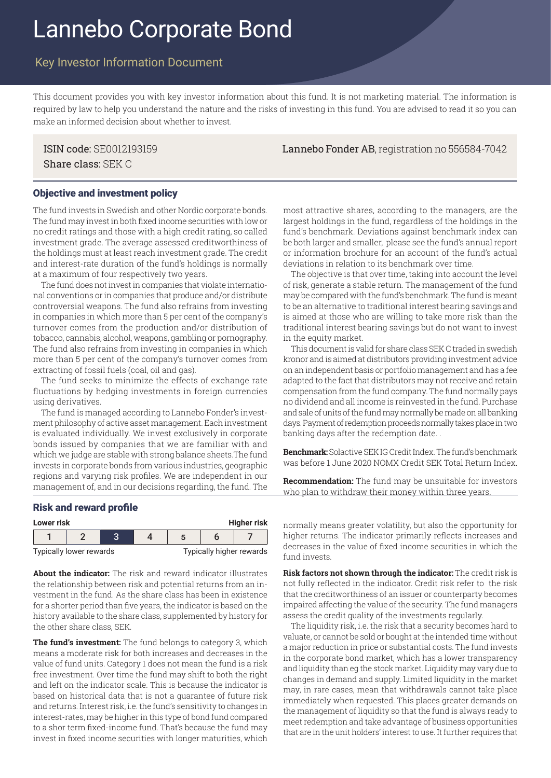# Lannebo Corporate Bond

# Key Investor Information Document

This document provides you with key investor information about this fund. It is not marketing material. The information is required by law to help you understand the nature and the risks of investing in this fund. You are advised to read it so you can make an informed decision about whether to invest.

Share class: SEK C

ISIN code: SE0012193159 Lannebo Fonder AB, registration no 556584-7042

#### Objective and investment policy

The fund invests in Swedish and other Nordic corporate bonds. The fund may invest in both fixed income securities with low or no credit ratings and those with a high credit rating, so called investment grade. The average assessed creditworthiness of the holdings must at least reach investment grade. The credit and interest-rate duration of the fund's holdings is normally at a maximum of four respectively two years.

The fund does not invest in companies that violate international conventions or in companies that produce and/or distribute controversial weapons. The fund also refrains from investing in companies in which more than 5 per cent of the company's turnover comes from the production and/or distribution of tobacco, cannabis, alcohol, weapons, gambling or pornography. The fund also refrains from investing in companies in which more than 5 per cent of the company's turnover comes from extracting of fossil fuels (coal, oil and gas).

The fund seeks to minimize the effects of exchange rate fluctuations by hedging investments in foreign currencies using derivatives.

The fund is managed according to Lannebo Fonder's investment philosophy of active asset management. Each investment is evaluated individually. We invest exclusively in corporate bonds issued by companies that we are familiar with and which we judge are stable with strong balance sheets.The fund invests in corporate bonds from various industries, geographic regions and varying risk profiles. We are independent in our management of, and in our decisions regarding, the fund. The

#### Risk and reward profile

| <b>Higher risk</b><br>Lower risk |  |  |  |                                 |  |  |
|----------------------------------|--|--|--|---------------------------------|--|--|
|                                  |  |  |  |                                 |  |  |
| Typically lower rewards          |  |  |  | <b>Typically higher rewards</b> |  |  |

**About the indicator:** The risk and reward indicator illustrates the relationship between risk and potential returns from an investment in the fund. As the share class has been in existence for a shorter period than five years, the indicator is based on the history available to the share class, supplemented by history for the other share class, SEK.

**The fund's investment:** The fund belongs to category 3, which means a moderate risk for both increases and decreases in the value of fund units. Category 1 does not mean the fund is a risk free investment. Over time the fund may shift to both the right and left on the indicator scale. This is because the indicator is based on historical data that is not a guarantee of future risk and returns. Interest risk, i.e. the fund's sensitivity to changes in interest-rates, may be higher in this type of bond fund compared to a shor term fixed-income fund. That's because the fund may invest in fixed income securities with longer maturities, which

most attractive shares, according to the managers, are the largest holdings in the fund, regardless of the holdings in the fund's benchmark. Deviations against benchmark index can be both larger and smaller, please see the fund's annual report or information brochure for an account of the fund's actual deviations in relation to its benchmark over time.

The objective is that over time, taking into account the level of risk, generate a stable return. The management of the fund may be compared with the fund's benchmark. The fund is meant to be an alternative to traditional interest bearing savings and is aimed at those who are willing to take more risk than the traditional interest bearing savings but do not want to invest in the equity market.

This document is valid for share class SEK C traded in swedish kronor and is aimed at distributors providing investment advice on an independent basis or portfolio management and has a fee adapted to the fact that distributors may not receive and retain compensation from the fund company. The fund normally pays no dividend and all income is reinvested in the fund. Purchase and sale of units of the fund may normally be made on all banking days. Payment of redemption proceeds normally takes place in two banking days after the redemption date. .

**Benchmark:** Solactive SEK IG Credit Index. The fund's benchmark was before 1 June 2020 NOMX Credit SEK Total Return Index.

**Recommendation:** The fund may be unsuitable for investors who plan to withdraw their money within three years.

**Lower risk Higher risk** normally means greater volatility, but also the opportunity for higher returns. The indicator primarily reflects increases and decreases in the value of fixed income securities in which the fund invests.

**Risk factors not shown through the indicator:** The credit risk is not fully reflected in the indicator. Credit risk refer to the risk that the creditworthiness of an issuer or counterparty becomes impaired affecting the value of the security. The fund managers assess the credit quality of the investments regularly.

The liquidity risk, i.e. the risk that a security becomes hard to valuate, or cannot be sold or bought at the intended time without a major reduction in price or substantial costs. The fund invests in the corporate bond market, which has a lower transparency and liquidity than eg the stock market. Liquidity may vary due to changes in demand and supply. Limited liquidity in the market may, in rare cases, mean that withdrawals cannot take place immediately when requested. This places greater demands on the management of liquidity so that the fund is always ready to meet redemption and take advantage of business opportunities that are in the unit holders' interest to use. It further requires that